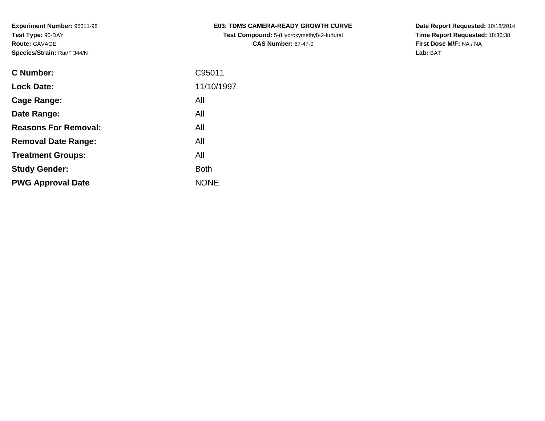| <b>C Number:</b>            | C95011      |
|-----------------------------|-------------|
| <b>Lock Date:</b>           | 11/10/1997  |
| <b>Cage Range:</b>          | All         |
| Date Range:                 | All         |
| <b>Reasons For Removal:</b> | All         |
| <b>Removal Date Range:</b>  | All         |
| <b>Treatment Groups:</b>    | All         |
| <b>Study Gender:</b>        | <b>Both</b> |
| <b>PWG Approval Date</b>    | <b>NONE</b> |
|                             |             |

**E03: TDMS CAMERA-READY GROWTH CURVETest Compound:** 5-(Hydroxymethyl)-2-furfural **CAS Number:** 67-47-0

**Date Report Requested:** 10/18/2014 **Time Report Requested:** 18:36:38**First Dose M/F:** NA / NA**Lab:** BAT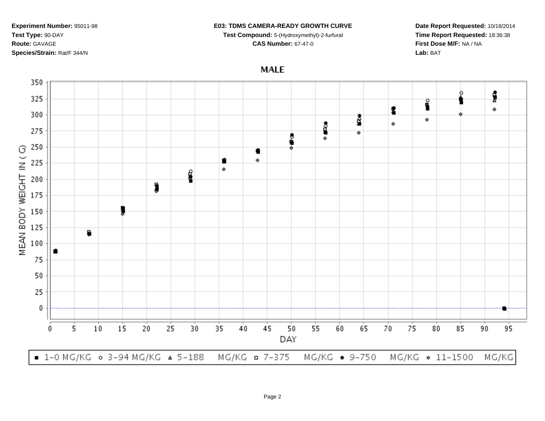### **E03: TDMS CAMERA-READY GROWTH CURVE**

**Test Compound:** 5-(Hydroxymethyl)-2-furfural

**Date Report Requested:** 10/18/2014**Time Report Requested:** 18:36:38**First Dose M/F:** NA / NA**Lab:** BAT

**MALE** 



#### **CAS Number:** 67-47-0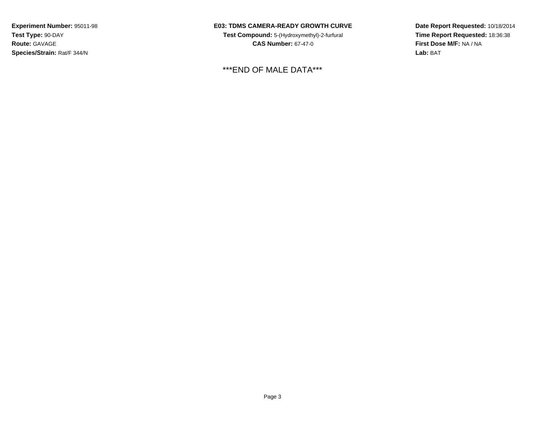# **E03: TDMS CAMERA-READY GROWTH CURVE**

**Test Compound:** 5-(Hydroxymethyl)-2-furfural **CAS Number:** 67-47-0

\*\*\*END OF MALE DATA\*\*\*

**Date Report Requested:** 10/18/2014**Time Report Requested:** 18:36:38**First Dose M/F:** NA / NA**Lab:** BAT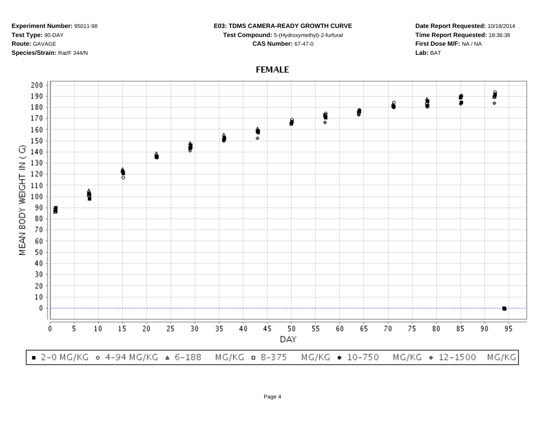#### **E03: TDMS CAMERA-READY GROWTH CURVE**

**Test Compound:** 5-(Hydroxymethyl)-2-furfural **CAS Number:** 67-47-0

**Date Report Requested:** 10/18/2014**Time Report Requested:** 18:36:38**First Dose M/F:** NA / NA**Lab:** BAT

# **FEMALE**